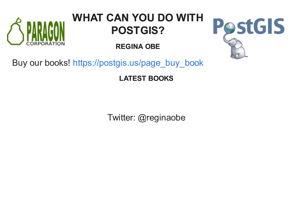

# **WHAT CAN YOU DO WITH POSTGIS?**

**REGINA OBE**



Buy our books! [https://postgis.us/page\\_buy\\_book](http://postgis.us/page_buy_book)

**LATEST BOOKS**

Twitter: @reginaobe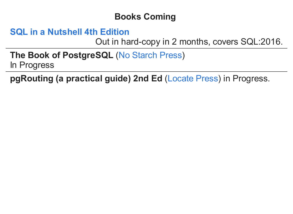# **Books Coming**

# **SQL in a [Nutshell](https://www.oreilly.com/library/view/sql-in-a/9781492088851/) 4th Edition**

Out in hard-copy in 2 months, covers SQL:2016.

**The Book of PostgreSQL (No [Starch](https://nostarch.com/) Press)** In Progress

**pgRouting (a practical guide) 2nd Ed ([Locate](https://locatepress.com/) Press) in Progress.**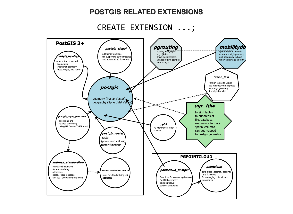#### **POSTGIS RELATED EXTENSIONS**

## CREATE EXTENSION ...;

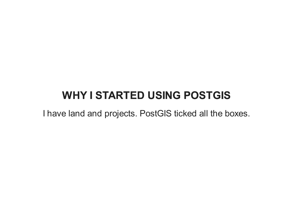# **WHY I STARTED USING POSTGIS**

I have land and projects. PostGIS ticked all the boxes.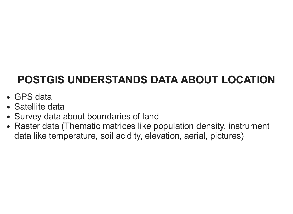# **POSTGIS UNDERSTANDS DATA ABOUT LOCATION**

- GPS data
- Satellite data
- Survey data about boundaries of land
- Raster data (Thematic matrices like population density, instrument data like temperature, soil acidity, elevation, aerial, pictures)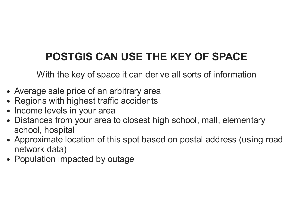# **POSTGIS CAN USE THE KEY OF SPACE**

With the key of space it can derive all sorts of information

- Average sale price of an arbitrary area
- Regions with highest traffic accidents
- Income levels in your area
- Distances from your area to closest high school, mall, elementary school, hospital
- Approximate location of this spot based on postal address (using road network data)
- Population impacted by outage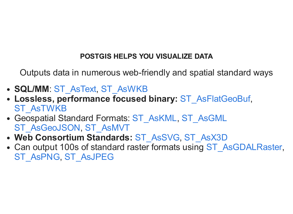## **POSTGIS HELPS YOU VISUALIZE DATA**

Outputs data in numerous web-friendly and spatial standard ways

- SQL/MM: [ST\\_AsText](https://postgis.net/docs/ST_AsText.html), [ST\\_AsWKB](https://postgis.net/docs/ST_AsWKB.html)
- Lossless, performance focused binary: [ST\\_AsFlatGeoBuf](https://postgis.net/docs/ST_AsFlatGeoBuf.html), [ST\\_AsTWKB](https://postgis.net/docs/ST_AsTWKB.html)
- Geospatial Standard Formats: [ST\\_AsKML](https://postgis.net/docs/ST_AsKML.html), [ST\\_AsGML](https://postgis.net/docs/ST_AsGML.html) [ST\\_AsGeoJSON](https://postgis.net/docs/ST_AsGeoJSON.html), [ST\\_AsMVT](https://postgis.net/docs/ST_AsMVT.html)
- Web Consortium Standards: [ST\\_AsSVG](https://postgis.net/docs/ST_AsSVG.html), [ST\\_AsX3D](https://postgis.net/docs/ST_AsX3D.html)
- Can output 100s of standard raster formats using [ST\\_AsGDALRaster](https://postgis.net/docs/RT_ST_AsGDALRaster.html), [ST\\_AsPNG](https://postgis.net/docs/RT_ST_AsPNG.html), [ST\\_AsJPEG](https://postgis.net/docs/RT_ST_AsJPEG.html)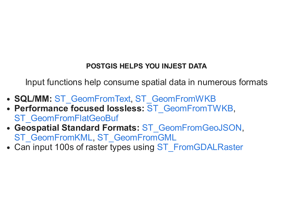## **POSTGIS HELPS YOU INJEST DATA**

Input functions help consume spatial data in numerous formats

- SQL/MM: [ST\\_GeomFromText](https://postgis.net/docs/ST_GeomFromText.html), [ST\\_GeomFromWKB](https://postgis.net/docs/ST_GeomFromWKB.html)
- Performance focused lossless: [ST\\_GeomFromTWKB](https://postgis.net/docs/ST_GeomFromTWKB.html), ST GeomFromFlatGeoBuf
- Geospatial Standard Formats: [ST\\_GeomFromGeoJSON](https://postgis.net/docs/ST_GeomFromGeoJSON.html), [ST\\_GeomFromKML](https://postgis.net/docs/ST_GeomFromKML.html), [ST\\_GeomFromGML](https://postgis.net/docs/ST_GeomFromGML.html)
- Can input 100s of raster types using [ST\\_FromGDALRaster](https://postgis.net/docs/RT_ST_FromGDALRaster.html)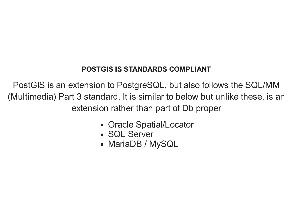## **POSTGIS IS STANDARDS COMPLIANT**

PostGIS is an extension to PostgreSQL, but also follows the SQL/MM (Multimedia) Part 3 standard. It is similar to below but unlike these, is an extension rather than part of Db proper

- Oracle Spatial/Locator
- SQL Server
- MariaDB / MySQL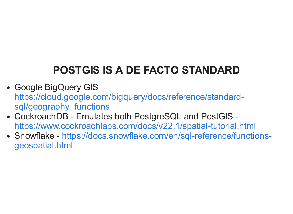# **POSTGIS IS A DE FACTO STANDARD**

- Google BigQuery GIS [https://cloud.google.com/bigquery/docs/reference/standard](https://cloud.google.com/bigquery/docs/reference/standard-sql/geography_functions)sql/geography functions
- CockroachDB Emulates both PostgreSQL and PostGIS <https://www.cockroachlabs.com/docs/v22.1/spatial-tutorial.html>
- Snowflake [https://docs.snowflake.com/en/sql-reference/functions](https://docs.snowflake.com/en/sql-reference/functions-geospatial.html)geospatial.html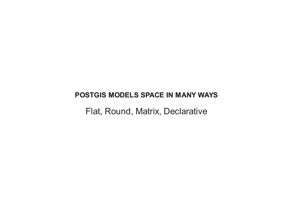#### **POSTGIS MODELS SPACE IN MANY WAYS**

Flat, Round, Matrix, Declarative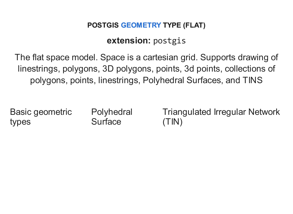## **POSTGIS [GEOMETRY](https://postgis.net/docs/using_postgis_dbmanagement.html#RefObject) TYPE (FLAT)**

# **extension:** postgis

The flat space model. Space is a cartesian grid. Supports drawing of linestrings, polygons, 3D polygons, points, 3d points, collections of polygons, points, linestrings, Polyhedral Surfaces, and TINS

Basic geometric types

**Polyhedral Surface** 

Triangulated Irregular Network (TIN)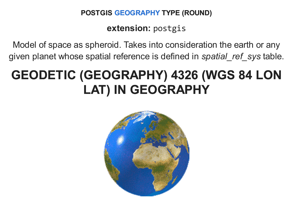### **POSTGIS [GEOGRAPHY](https://postgis.net/docs/using_postgis_dbmanagement.html#PostGIS_Geography) TYPE (ROUND)**

**extension:** postgis

Model of space as spheroid. Takes into consideration the earth or any given planet whose spatial reference is defined in *spatial\_ref\_sys* table.

# **GEODETIC (GEOGRAPHY) 4326 (WGS 84 LON LAT) IN GEOGRAPHY**

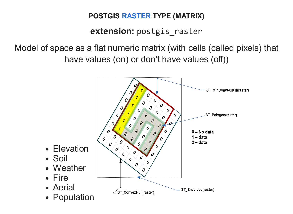## **POSTGIS [RASTER](https://postgis.net/docs/manual-dev/RT_reference.html) TYPE (MATRIX)**

# **extension:** postgis\_raster

Model of space as a flat numeric matrix (with cells (called pixels) that have values (on) or don't have values (off))

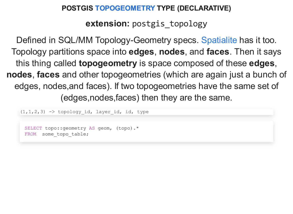#### **POSTGIS [TOPOGEOMETRY](https://postgis.net/docs/Topology.html) TYPE (DECLARATIVE)**

**extension:** postgis topology

Defined in SQL/MM Topology-Geometry specs. [Spatialite](https://www.gaia-gis.it/fossil/libspatialite/wiki?name=topo-intro) has it too. Topology partitions space into **edges**, **nodes**, and **faces**. Then it says this thing called **topogeometry** is space composed of these **edges**, **nodes**, **faces** and other topogeometries (which are again just a bunch of edges, nodes,and faces). If two topogeometries have the same set of (edges,nodes,faces) then they are the same.

 $(1, 1, 2, 3)$  -> topology id, layer id, id, type SELECT topo::geometry AS geom, (topo).\* FROM some topo table;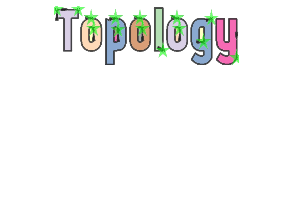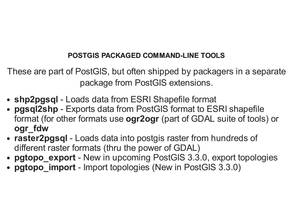## **POSTGIS PACKAGED COMMAND-LINE TOOLS**

These are part of PostGIS, but often shipped by packagers in a separate package from PostGIS extensions.

- **shp2pgsql** Loads data from ESRI Shapefile format
- **pgsql2shp** Exports data from PostGIS format to ESRI shapefile format (for other formats use **ogr2ogr** (part of GDAL suite of tools) or **ogr\_fdw**
- **raster2pgsql** Loads data into postgis raster from hundreds of different raster formats (thru the power of GDAL)
- **pgtopo export** New in upcoming PostGIS 3.3.0, export topologies
- **pgtopo\_import** Import topologies (New in PostGIS 3.3.0)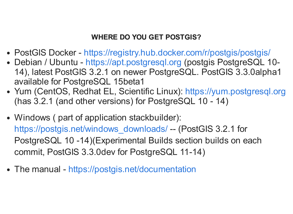### **WHERE DO YOU GET POSTGIS?**

- PostGIS Docker <https://registry.hub.docker.com/r/postgis/postgis/>
- Debian / Ubuntu [https://apt.postgresql.org](https://apt.postgresql.org/) (postgis PostgreSQL 10-14), latest PostGIS 3.2.1 on newer PostgreSQL. PostGIS 3.3.0alpha1 available for PostgreSQL 15beta1
- Yum (CentOS, Redhat EL, Scientific Linux): [https://yum.postgresql.org](https://yum.postgresql.org/) (has 3.2.1 (and other versions) for PostgreSQL 10 - 14)
- Windows ( part of application stackbuilder): [https://postgis.net/windows\\_downloads/](https://postgis.net/windows_downloads/) -- (PostGIS 3.2.1 for PostgreSQL 10 -14)(Experimental Builds section builds on each commit, PostGIS 3.3.0dev for PostgreSQL 11-14)
- The manual <https://postgis.net/documentation>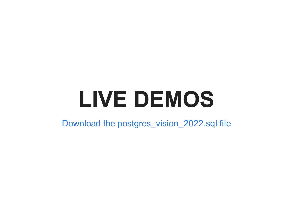# **LIVE DEMOS**

Download the [postgres\\_vision\\_2022.sql](https://postgis.us/presentations/postgres_vision_2022.sql) file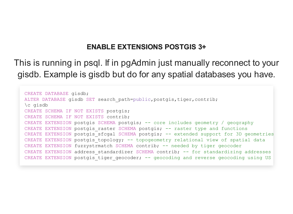#### **ENABLE EXTENSIONS POSTGIS 3+**

This is running in psql. If in pgAdmin just manually reconnect to your gisdb. Example is gisdb but do for any spatial databases you have.

```
CREATE DATABASE gisdb;
ALTER DATABASE gisdb SET search path=public,postgis,tiger,contrib;
\c gisdb
CREATE SCHEMA IF NOT EXISTS postgis;
CREATE SCHEMA IF NOT EXISTS contrib;
CREATE EXTENSION postgis SCHEMA postgis; -- core includes geometry / geography
CREATE EXTENSION postgis raster SCHEMA postgis; -- raster type and functions
CREATE EXTENSION postgis sfcgal SCHEMA postgis; -- extended support for 3D geometries
CREATE EXTENSION postgis topology; -- topogeometry relational view of spatial data
CREATE EXTENSION fuzzystrmatch SCHEMA contrib; -- needed by tiger geocoder
CREATE EXTENSION address standardizer SCHEMA contrib; -- for standardizing addresses
CREATE EXTENSION postgis tiger geocoder; -- geocoding and reverse geocoding using US
```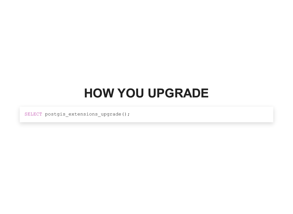# **HOW YOU UPGRADE**

SELECT postgis\_extensions\_upgrade();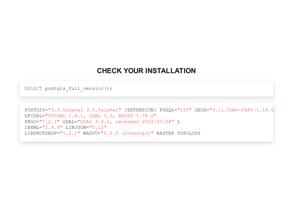#### **CHECK YOUR INSTALLATION**

```
SELECT postgis_full_version();
```

```
POSTGIS="3.3.0alpha1 3.3.0alpha1" [EXTENSION] PGSQL="150" GEOS="3.11.0dev-CAPI-1.16.0
SFCGAL="SFCGAL 1.4.1, CGAL 5.3, BOOST 1.78.0"
PROJ="7.2.1" GDAL="GDAL 3.4.2, released 2022/03/08" L
IBXML="2.9.9" LIBJSON="0.12"
LIBPROTOBUF="1.2.1" WAGYU="0.5.0 (Internal)" RASTER TOPOLOGY
```